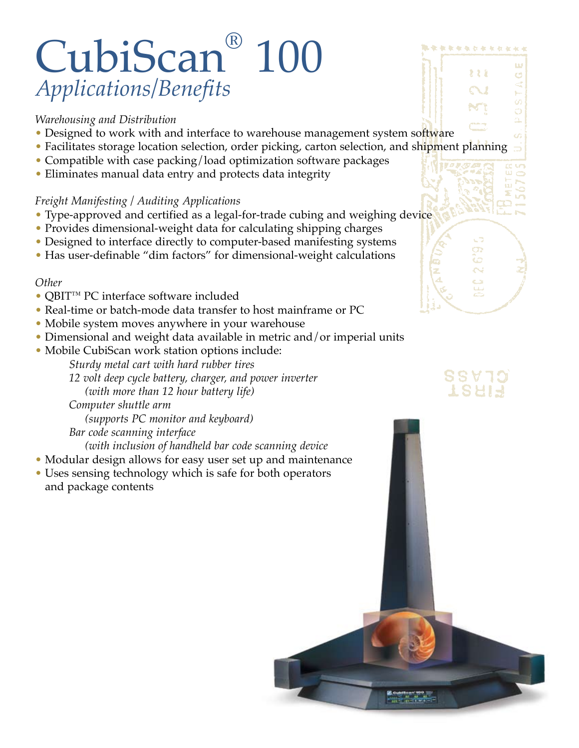# CubiScan® 100 *Applications/Benefits*

#### *Warehousing and Distribution*

- Designed to work with and interface to warehouse management system software
- Facilitates storage location selection, order picking, carton selection, and shipment planning 5
- Compatible with case packing/load optimization software packages
- Eliminates manual data entry and protects data integrity

#### *Freight Manifesting / Auditing Applications*

- Type-approved and certified as a legal-for-trade cubing and weighing device
- Provides dimensional-weight data for calculating shipping charges
- Designed to interface directly to computer-based manifesting systems
- Has user-definable "dim factors" for dimensional-weight calculations

#### *Other*

- QBIT™ PC interface software included
- Real-time or batch-mode data transfer to host mainframe or PC
- Mobile system moves anywhere in your warehouse
- Dimensional and weight data available in metric and/or imperial units
- Mobile CubiScan work station options include:

*Sturdy metal cart with hard rubber tires* 

*12 volt deep cycle battery, charger, and power inverter (with more than 12 hour battery life)* 

*Computer shuttle arm (supports PC monitor and keyboard) Bar code scanning interface* 

 *(with inclusion of handheld bar code scanning device*

- Modular design allows for easy user set up and maintenance
- Uses sensing technology which is safe for both operators and package contents



\*\*\*\*\*\*\*\*\*\*\*

१ १ १

Ġ

### 88 Y 79 TSAIR